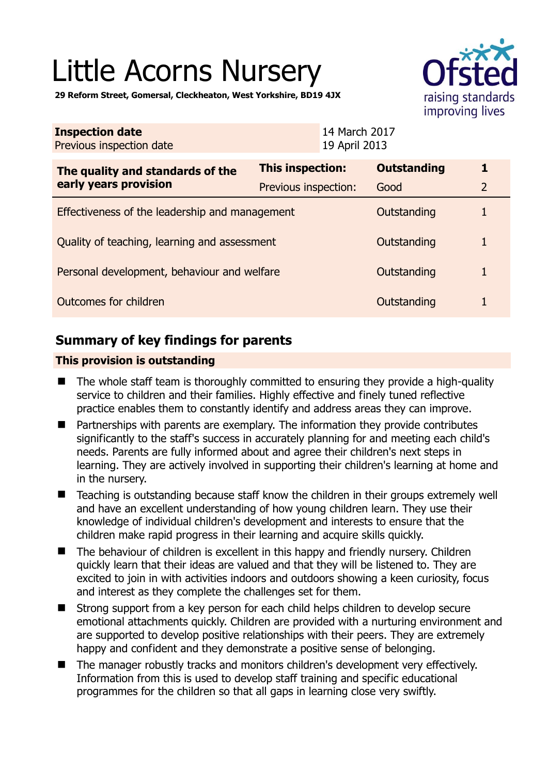# Little Acorns Nursery



**29 Reform Street, Gomersal, Cleckheaton, West Yorkshire, BD19 4JX** 

| <b>Inspection date</b><br>Previous inspection date |                      | 14 March 2017<br>19 April 2013 |                    |                |
|----------------------------------------------------|----------------------|--------------------------------|--------------------|----------------|
| The quality and standards of the                   | This inspection:     |                                | <b>Outstanding</b> |                |
| early years provision                              | Previous inspection: |                                | Good               | $\overline{2}$ |
| Effectiveness of the leadership and management     |                      |                                | Outstanding        |                |
| Quality of teaching, learning and assessment       |                      |                                | Outstanding        |                |
| Personal development, behaviour and welfare        |                      |                                | Outstanding        |                |
| Outcomes for children                              |                      |                                | Outstanding        |                |

# **Summary of key findings for parents**

## **This provision is outstanding**

- The whole staff team is thoroughly committed to ensuring they provide a high-quality service to children and their families. Highly effective and finely tuned reflective practice enables them to constantly identify and address areas they can improve.
- Partnerships with parents are exemplary. The information they provide contributes significantly to the staff's success in accurately planning for and meeting each child's needs. Parents are fully informed about and agree their children's next steps in learning. They are actively involved in supporting their children's learning at home and in the nursery.
- Teaching is outstanding because staff know the children in their groups extremely well and have an excellent understanding of how young children learn. They use their knowledge of individual children's development and interests to ensure that the children make rapid progress in their learning and acquire skills quickly.
- The behaviour of children is excellent in this happy and friendly nursery. Children quickly learn that their ideas are valued and that they will be listened to. They are excited to join in with activities indoors and outdoors showing a keen curiosity, focus and interest as they complete the challenges set for them.
- Strong support from a key person for each child helps children to develop secure emotional attachments quickly. Children are provided with a nurturing environment and are supported to develop positive relationships with their peers. They are extremely happy and confident and they demonstrate a positive sense of belonging.
- The manager robustly tracks and monitors children's development very effectively. Information from this is used to develop staff training and specific educational programmes for the children so that all gaps in learning close very swiftly.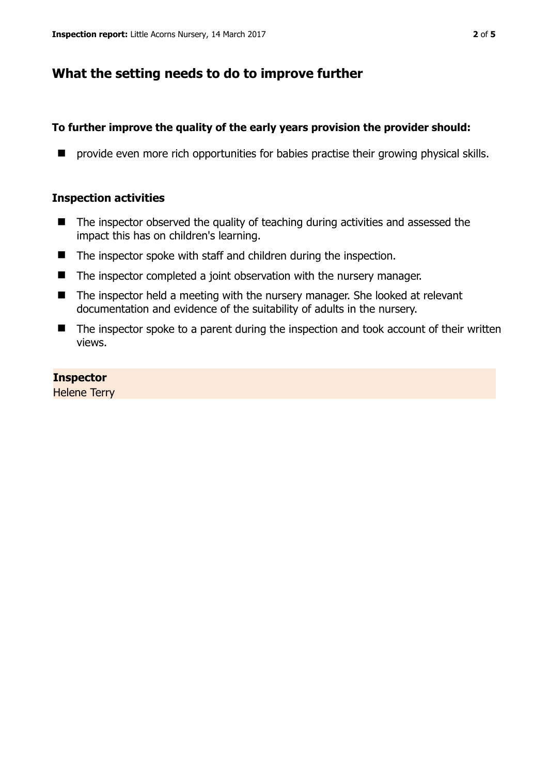# **What the setting needs to do to improve further**

## **To further improve the quality of the early years provision the provider should:**

**P** provide even more rich opportunities for babies practise their growing physical skills.

## **Inspection activities**

- The inspector observed the quality of teaching during activities and assessed the impact this has on children's learning.
- $\blacksquare$  The inspector spoke with staff and children during the inspection.
- The inspector completed a joint observation with the nursery manager.
- The inspector held a meeting with the nursery manager. She looked at relevant documentation and evidence of the suitability of adults in the nursery.
- The inspector spoke to a parent during the inspection and took account of their written views.

## **Inspector**

Helene Terry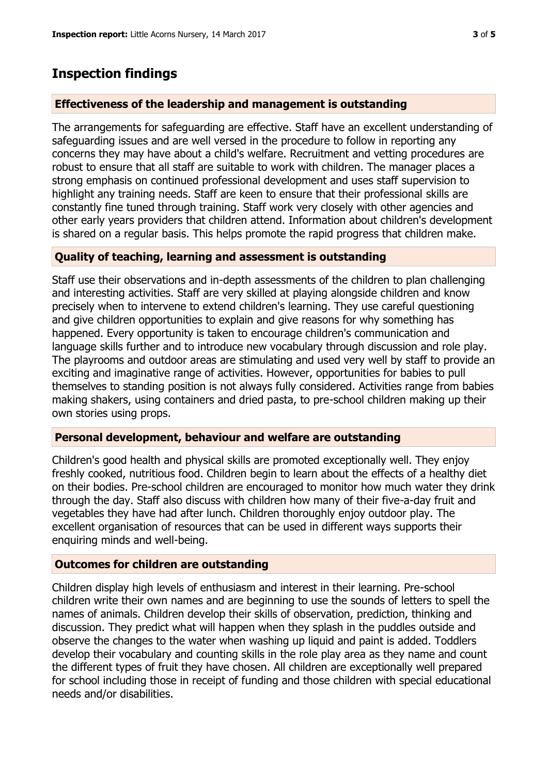## **Inspection findings**

### **Effectiveness of the leadership and management is outstanding**

The arrangements for safeguarding are effective. Staff have an excellent understanding of safeguarding issues and are well versed in the procedure to follow in reporting any concerns they may have about a child's welfare. Recruitment and vetting procedures are robust to ensure that all staff are suitable to work with children. The manager places a strong emphasis on continued professional development and uses staff supervision to highlight any training needs. Staff are keen to ensure that their professional skills are constantly fine tuned through training. Staff work very closely with other agencies and other early years providers that children attend. Information about children's development is shared on a regular basis. This helps promote the rapid progress that children make.

### **Quality of teaching, learning and assessment is outstanding**

Staff use their observations and in-depth assessments of the children to plan challenging and interesting activities. Staff are very skilled at playing alongside children and know precisely when to intervene to extend children's learning. They use careful questioning and give children opportunities to explain and give reasons for why something has happened. Every opportunity is taken to encourage children's communication and language skills further and to introduce new vocabulary through discussion and role play. The playrooms and outdoor areas are stimulating and used very well by staff to provide an exciting and imaginative range of activities. However, opportunities for babies to pull themselves to standing position is not always fully considered. Activities range from babies making shakers, using containers and dried pasta, to pre-school children making up their own stories using props.

#### **Personal development, behaviour and welfare are outstanding**

Children's good health and physical skills are promoted exceptionally well. They enjoy freshly cooked, nutritious food. Children begin to learn about the effects of a healthy diet on their bodies. Pre-school children are encouraged to monitor how much water they drink through the day. Staff also discuss with children how many of their five-a-day fruit and vegetables they have had after lunch. Children thoroughly enjoy outdoor play. The excellent organisation of resources that can be used in different ways supports their enquiring minds and well-being.

### **Outcomes for children are outstanding**

Children display high levels of enthusiasm and interest in their learning. Pre-school children write their own names and are beginning to use the sounds of letters to spell the names of animals. Children develop their skills of observation, prediction, thinking and discussion. They predict what will happen when they splash in the puddles outside and observe the changes to the water when washing up liquid and paint is added. Toddlers develop their vocabulary and counting skills in the role play area as they name and count the different types of fruit they have chosen. All children are exceptionally well prepared for school including those in receipt of funding and those children with special educational needs and/or disabilities.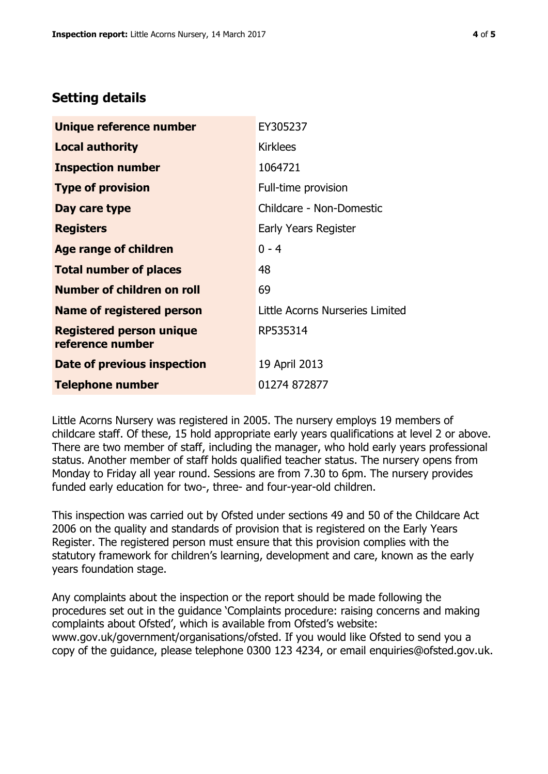## **Setting details**

| Unique reference number                             | EY305237                        |  |
|-----------------------------------------------------|---------------------------------|--|
| <b>Local authority</b>                              | <b>Kirklees</b>                 |  |
| <b>Inspection number</b>                            | 1064721                         |  |
| <b>Type of provision</b>                            | Full-time provision             |  |
| Day care type                                       | Childcare - Non-Domestic        |  |
| <b>Registers</b>                                    | Early Years Register            |  |
| <b>Age range of children</b>                        | $0 - 4$                         |  |
| <b>Total number of places</b>                       | 48                              |  |
| Number of children on roll                          | 69                              |  |
| Name of registered person                           | Little Acorns Nurseries Limited |  |
| <b>Registered person unique</b><br>reference number | RP535314                        |  |
| Date of previous inspection                         | 19 April 2013                   |  |
| <b>Telephone number</b>                             | 01274 872877                    |  |

Little Acorns Nursery was registered in 2005. The nursery employs 19 members of childcare staff. Of these, 15 hold appropriate early years qualifications at level 2 or above. There are two member of staff, including the manager, who hold early years professional status. Another member of staff holds qualified teacher status. The nursery opens from Monday to Friday all year round. Sessions are from 7.30 to 6pm. The nursery provides funded early education for two-, three- and four-year-old children.

This inspection was carried out by Ofsted under sections 49 and 50 of the Childcare Act 2006 on the quality and standards of provision that is registered on the Early Years Register. The registered person must ensure that this provision complies with the statutory framework for children's learning, development and care, known as the early years foundation stage.

Any complaints about the inspection or the report should be made following the procedures set out in the guidance 'Complaints procedure: raising concerns and making complaints about Ofsted', which is available from Ofsted's website: www.gov.uk/government/organisations/ofsted. If you would like Ofsted to send you a copy of the guidance, please telephone 0300 123 4234, or email enquiries@ofsted.gov.uk.